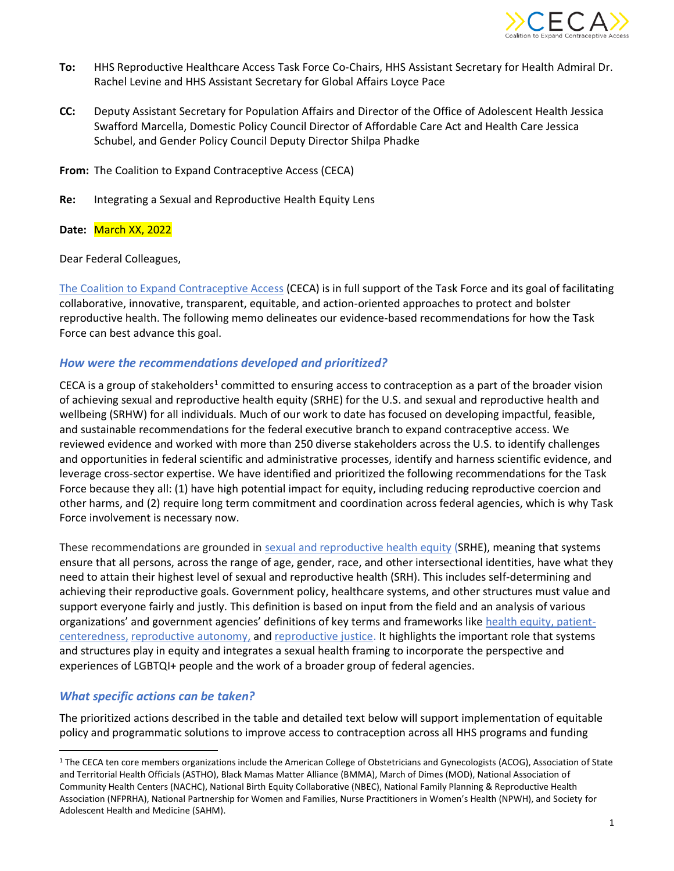

- **To:** HHS Reproductive Healthcare Access Task Force Co-Chairs, HHS Assistant Secretary for Health Admiral Dr. Rachel Levine and HHS Assistant Secretary for Global Affairs Loyce Pace
- **CC:** Deputy Assistant Secretary for Population Affairs and Director of the Office of Adolescent Health Jessica Swafford Marcella, Domestic Policy Council Director of Affordable Care Act and Health Care Jessica Schubel, and Gender Policy Council Deputy Director Shilpa Phadke

**From:** The Coalition to Expand Contraceptive Access (CECA)

**Re:** Integrating a Sexual and Reproductive Health Equity Lens

**Date:** March XX, 2022

Dear Federal Colleagues,

[The Coalition to Expand Contraceptive Access](https://www.contraceptionaccess.org/) (CECA) is in full support of the Task Force and its goal of facilitating collaborative, innovative, transparent, equitable, and action-oriented approaches to protect and bolster reproductive health. The following memo delineates our evidence-based recommendations for how the Task Force can best advance this goal.

## *How were the recommendations developed and prioritized?*

CECA is a group of stakeholders<sup>1</sup> committed to ensuring access to contraception as a part of the broader vision of achieving sexual and reproductive health equity (SRHE) for the U.S. and sexual and reproductive health and wellbeing (SRHW) for all individuals. Much of our work to date has focused on developing impactful, feasible, and sustainable recommendations for the federal executive branch to expand contraceptive access. We reviewed evidence and worked with more than 250 diverse stakeholders across the U.S. to identify challenges and opportunities in federal scientific and administrative processes, identify and harness scientific evidence, and leverage cross-sector expertise. We have identified and prioritized the following recommendations for the Task Force because they all: (1) have high potential impact for equity, including reducing reproductive coercion and other harms, and (2) require long term commitment and coordination across federal agencies, which is why Task Force involvement is necessary now.

These recommendations are grounded in [sexual and reproductive health equity](https://www.contraceptionaccess.org/blog/why-ceca-focuses-on-srhw-and-srhe) (SRHE), meaning that systems ensure that all persons, across the range of age, gender, race, and other intersectional identities, have what they need to attain their highest level of sexual and reproductive health (SRH). This includes self-determining and achieving their reproductive goals. Government policy, healthcare systems, and other structures must value and support everyone fairly and justly. This definition is based on input from the field and an analysis of various organizations' and government agencies' definitions of key terms and frameworks like [health equity,](https://www.rwjf.org/en/library/research/2017/05/what-is-health-equity-.html) [patient](https://catalyst.nejm.org/doi/full/10.1056/CAT.17.0559)[centeredness,](https://catalyst.nejm.org/doi/full/10.1056/CAT.17.0559) [reproductive autonomy,](https://onlinelibrary.wiley.com/doi/full/10.1111/j.1728-4465.2014.00374.x) and [reproductive justice.](https://www.sistersong.net/reproductive-justice) It highlights the important role that systems and structures play in equity and integrates a sexual health framing to incorporate the perspective and experiences of LGBTQI+ people and the work of a broader group of federal agencies.

# *What specific actions can be taken?*

The prioritized actions described in the table and detailed text below will support implementation of equitable policy and programmatic solutions to improve access to contraception across all HHS programs and funding

<sup>&</sup>lt;sup>1</sup> The CECA ten core members organizations include the American College of Obstetricians and Gynecologists (ACOG), Association of State and Territorial Health Officials (ASTHO), Black Mamas Matter Alliance (BMMA), March of Dimes (MOD), National Association of Community Health Centers (NACHC), National Birth Equity Collaborative (NBEC), National Family Planning & Reproductive Health Association (NFPRHA), National Partnership for Women and Families, Nurse Practitioners in Women's Health (NPWH), and Society for Adolescent Health and Medicine (SAHM).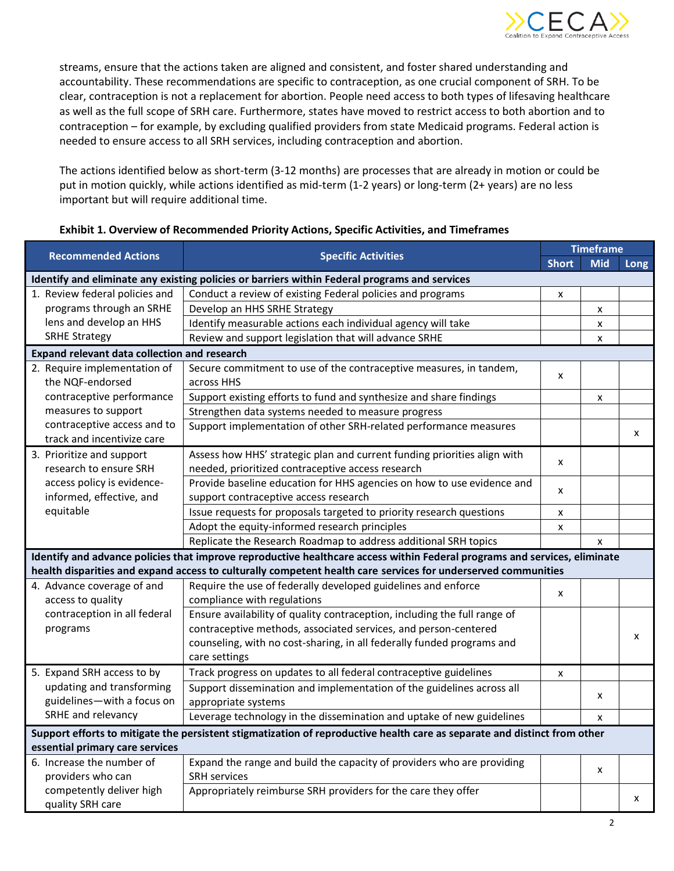

streams, ensure that the actions taken are aligned and consistent, and foster shared understanding and accountability. These recommendations are specific to contraception, as one crucial component of SRH. To be clear, contraception is not a replacement for abortion. People need access to both types of lifesaving healthcare as well as the full scope of SRH care. Furthermore, states have moved to restrict access to both abortion and to contraception – for example, by excluding qualified providers from state Medicaid programs. Federal action is needed to ensure access to all SRH services, including contraception and abortion.

The actions identified below as short-term (3-12 months) are processes that are already in motion or could be put in motion quickly, while actions identified as mid-term (1-2 years) or long-term (2+ years) are no less important but will require additional time.

| <b>Recommended Actions</b>                                                                                                | <b>Specific Activities</b>                                                | <b>Timeframe</b>          |                    |      |
|---------------------------------------------------------------------------------------------------------------------------|---------------------------------------------------------------------------|---------------------------|--------------------|------|
|                                                                                                                           |                                                                           | <b>Short</b>              | <b>Mid</b>         | Long |
| Identify and eliminate any existing policies or barriers within Federal programs and services                             |                                                                           |                           |                    |      |
| 1. Review federal policies and                                                                                            | Conduct a review of existing Federal policies and programs                | x                         |                    |      |
| programs through an SRHE                                                                                                  | Develop an HHS SRHE Strategy                                              |                           | $\pmb{\mathsf{x}}$ |      |
| lens and develop an HHS                                                                                                   | Identify measurable actions each individual agency will take              |                           | $\mathsf{x}$       |      |
| <b>SRHE Strategy</b>                                                                                                      | Review and support legislation that will advance SRHE                     |                           | X                  |      |
| Expand relevant data collection and research                                                                              |                                                                           |                           |                    |      |
| 2. Require implementation of                                                                                              | Secure commitment to use of the contraceptive measures, in tandem,        |                           |                    |      |
| the NQF-endorsed                                                                                                          | across HHS                                                                | X                         |                    |      |
| contraceptive performance                                                                                                 | Support existing efforts to fund and synthesize and share findings        |                           | X                  |      |
| measures to support                                                                                                       | Strengthen data systems needed to measure progress                        |                           |                    |      |
| contraceptive access and to                                                                                               | Support implementation of other SRH-related performance measures          |                           |                    |      |
| track and incentivize care                                                                                                |                                                                           |                           |                    | X    |
| 3. Prioritize and support                                                                                                 | Assess how HHS' strategic plan and current funding priorities align with  | $\boldsymbol{\mathsf{x}}$ |                    |      |
| research to ensure SRH                                                                                                    | needed, prioritized contraceptive access research                         |                           |                    |      |
| access policy is evidence-                                                                                                | Provide baseline education for HHS agencies on how to use evidence and    | X                         |                    |      |
| informed, effective, and                                                                                                  | support contraceptive access research                                     |                           |                    |      |
| equitable                                                                                                                 | Issue requests for proposals targeted to priority research questions      | $\pmb{\times}$            |                    |      |
|                                                                                                                           | Adopt the equity-informed research principles                             | Χ                         |                    |      |
|                                                                                                                           | Replicate the Research Roadmap to address additional SRH topics           |                           | X                  |      |
| Identify and advance policies that improve reproductive healthcare access within Federal programs and services, eliminate |                                                                           |                           |                    |      |
| health disparities and expand access to culturally competent health care services for underserved communities             |                                                                           |                           |                    |      |
| 4. Advance coverage of and                                                                                                | Require the use of federally developed guidelines and enforce             | $\pmb{\times}$            |                    |      |
| access to quality                                                                                                         | compliance with regulations                                               |                           |                    |      |
| contraception in all federal                                                                                              | Ensure availability of quality contraception, including the full range of |                           |                    |      |
| programs                                                                                                                  | contraceptive methods, associated services, and person-centered           |                           |                    | X    |
|                                                                                                                           | counseling, with no cost-sharing, in all federally funded programs and    |                           |                    |      |
|                                                                                                                           | care settings                                                             |                           |                    |      |
| 5. Expand SRH access to by                                                                                                | Track progress on updates to all federal contraceptive guidelines         | $\pmb{\mathsf{x}}$        |                    |      |
| updating and transforming                                                                                                 | Support dissemination and implementation of the guidelines across all     |                           |                    |      |
| guidelines-with a focus on                                                                                                | appropriate systems                                                       |                           | X                  |      |
| SRHE and relevancy                                                                                                        | Leverage technology in the dissemination and uptake of new guidelines     |                           | X                  |      |
| Support efforts to mitigate the persistent stigmatization of reproductive health care as separate and distinct from other |                                                                           |                           |                    |      |
| essential primary care services                                                                                           |                                                                           |                           |                    |      |
| 6. Increase the number of                                                                                                 | Expand the range and build the capacity of providers who are providing    |                           |                    |      |
| providers who can                                                                                                         | <b>SRH</b> services                                                       |                           | X                  |      |
| competently deliver high                                                                                                  | Appropriately reimburse SRH providers for the care they offer             |                           |                    |      |
| quality SRH care                                                                                                          |                                                                           |                           |                    | X    |

## **Exhibit 1. Overview of Recommended Priority Actions, Specific Activities, and Timeframes**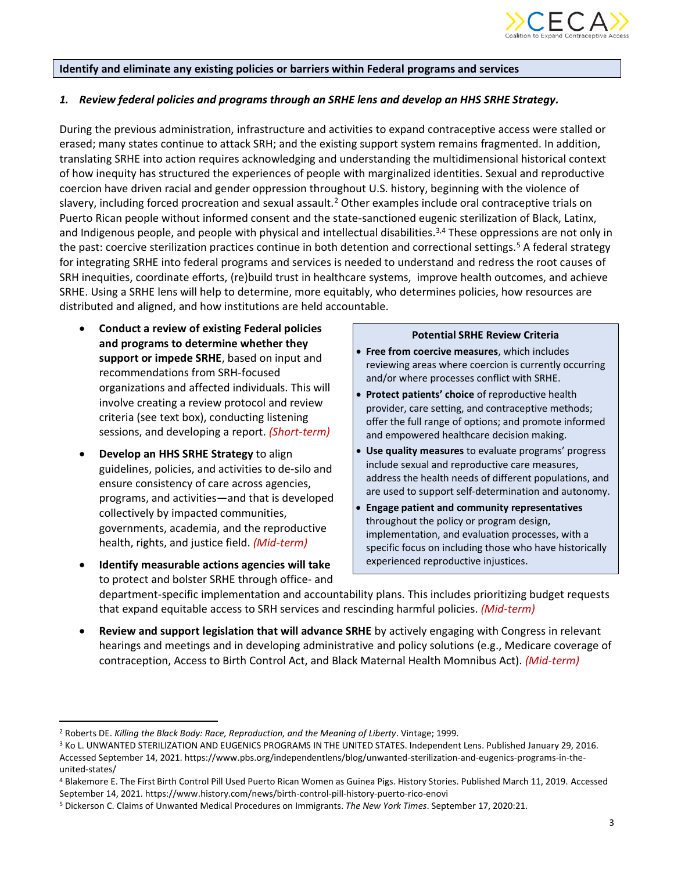

#### **Identify and eliminate any existing policies or barriers within Federal programs and services**

## *1. Review federal policies and programs through an SRHE lens and develop an HHS SRHE Strategy.*

During the previous administration, infrastructure and activities to expand contraceptive access were stalled or erased; many states continue to attack SRH; and the existing support system remains fragmented. In addition, translating SRHE into action requires acknowledging and understanding the multidimensional historical context of how inequity has structured the experiences of people with marginalized identities. Sexual and reproductive coercion have driven racial and gender oppression throughout U.S. history, beginning with the violence of slavery, including forced procreation and sexual assault.<sup>2</sup> Other examples include oral contraceptive trials on Puerto Rican people without informed consent and the state-sanctioned eugenic sterilization of Black, Latinx, and Indigenous people, and people with physical and intellectual disabilities.<sup>3,4</sup> These oppressions are not only in the past: coercive sterilization practices continue in both detention and correctional settings.<sup>5</sup> A federal strategy for integrating SRHE into federal programs and services is needed to understand and redress the root causes of SRH inequities, coordinate efforts, (re)build trust in healthcare systems, improve health outcomes, and achieve SRHE. Using a SRHE lens will help to determine, more equitably, who determines policies, how resources are distributed and aligned, and how institutions are held accountable.

- **Conduct a review of existing Federal policies and programs to determine whether they support or impede SRHE**, based on input and recommendations from SRH-focused organizations and affected individuals. This will involve creating a review protocol and review criteria (see text box), conducting listening sessions, and developing a report. *(Short-term)*
- **Develop an HHS SRHE Strategy** to align guidelines, policies, and activities to de-silo and ensure consistency of care across agencies, programs, and activities—and that is developed collectively by impacted communities, governments, academia, and the reproductive health, rights, and justice field. *(Mid-term)*
- **Identify measurable actions agencies will take** to protect and bolster SRHE through office- and

### **Potential SRHE Review Criteria**

- **Free from coercive measures**, which includes reviewing areas where coercion is currently occurring and/or where processes conflict with SRHE.
- Protect patients' choice of reproductive health provider, care setting, and contraceptive methods; offer the full range of options; and promote informed and empowered healthcare decision making.
- **Use quality measures** to evaluate programs' progress include sexual and reproductive care measures, address the health needs of different populations, and are used to support self-determination and autonomy.
- **Engage patient and community representatives** throughout the policy or program design, implementation, and evaluation processes, with a specific focus on including those who have historically experienced reproductive injustices.

department-specific implementation and accountability plans. This includes prioritizing budget requests that expand equitable access to SRH services and rescinding harmful policies. *(Mid-term)*

• **Review and support legislation that will advance SRHE** by actively engaging with Congress in relevant hearings and meetings and in developing administrative and policy solutions (e.g., Medicare coverage of contraception, Access to Birth Control Act, and Black Maternal Health Momnibus Act). *(Mid-term)*

<sup>2</sup> Roberts DE. *Killing the Black Body: Race, Reproduction, and the Meaning of Liberty*. Vintage; 1999.

<sup>3</sup> Ko L. UNWANTED STERILIZATION AND EUGENICS PROGRAMS IN THE UNITED STATES. Independent Lens. Published January 29, 2016. Accessed September 14, 2021. https://www.pbs.org/independentlens/blog/unwanted-sterilization-and-eugenics-programs-in-theunited-states/

<sup>4</sup> Blakemore E. The First Birth Control Pill Used Puerto Rican Women as Guinea Pigs. History Stories. Published March 11, 2019. Accessed September 14, 2021. https://www.history.com/news/birth-control-pill-history-puerto-rico-enovi

<sup>5</sup> Dickerson C. Claims of Unwanted Medical Procedures on Immigrants. *The New York Times*. September 17, 2020:21.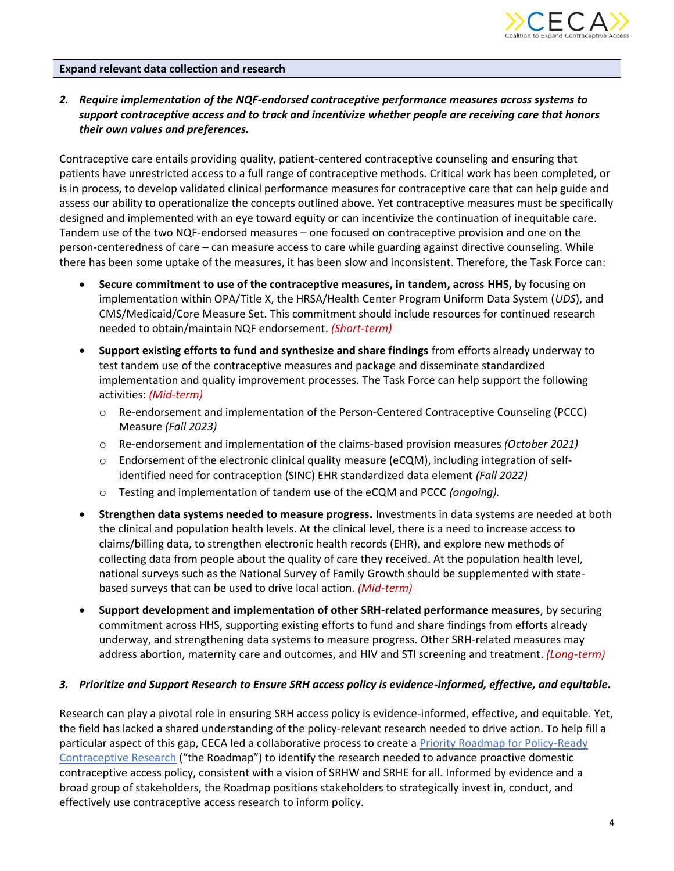

## **Expand relevant data collection and research**

# *2. Require implementation of the NQF-endorsed contraceptive performance measures across systems to support contraceptive access and to track and incentivize whether people are receiving care that honors their own values and preferences.*

Contraceptive care entails providing quality, patient-centered contraceptive counseling and ensuring that patients have unrestricted access to a full range of contraceptive methods. Critical work has been completed, or is in process, to develop validated clinical performance measures for contraceptive care that can help guide and assess our ability to operationalize the concepts outlined above. Yet contraceptive measures must be specifically designed and implemented with an eye toward equity or can incentivize the continuation of inequitable care. Tandem use of the two NQF-endorsed measures – one focused on contraceptive provision and one on the person-centeredness of care – can measure access to care while guarding against directive counseling. While there has been some uptake of the measures, it has been slow and inconsistent. Therefore, the Task Force can:

- **Secure commitment to use of the contraceptive measures, in tandem, across HHS,** by focusing on implementation within OPA/Title X, the HRSA/Health Center Program Uniform Data System (*UDS*), and CMS/Medicaid/Core Measure Set. This commitment should include resources for continued research needed to obtain/maintain NQF endorsement. *(Short-term)*
- **Support existing efforts to fund and synthesize and share findings** from efforts already underway to test tandem use of the contraceptive measures and package and disseminate standardized implementation and quality improvement processes. The Task Force can help support the following activities: *(Mid-term)*
	- o Re-endorsement and implementation of the Person-Centered Contraceptive Counseling (PCCC) Measure *(Fall 2023)*
	- o Re-endorsement and implementation of the claims-based provision measures *(October 2021)*
	- Endorsement of the electronic clinical quality measure (eCQM), including integration of selfidentified need for contraception (SINC) EHR standardized data element *(Fall 2022)*
	- o Testing and implementation of tandem use of the eCQM and PCCC *(ongoing).*
- **Strengthen data systems needed to measure progress.** Investments in data systems are needed at both the clinical and population health levels. At the clinical level, there is a need to increase access to claims/billing data, to strengthen electronic health records (EHR), and explore new methods of collecting data from people about the quality of care they received. At the population health level, national surveys such as the National Survey of Family Growth should be supplemented with statebased surveys that can be used to drive local action. *(Mid-term)*
- **Support development and implementation of other SRH-related performance measures**, by securing commitment across HHS, supporting existing efforts to fund and share findings from efforts already underway, and strengthening data systems to measure progress. Other SRH-related measures may address abortion, maternity care and outcomes, and HIV and STI screening and treatment. *(Long-term)*

## *3. Prioritize and Support Research to Ensure SRH access policy is evidence-informed, effective, and equitable.*

Research can play a pivotal role in ensuring SRH access policy is evidence-informed, effective, and equitable. Yet, the field has lacked a shared understanding of the policy-relevant research needed to drive action. To help fill a particular aspect of this gap, CECA led a collaborative process to create a [Priority Roadmap for Policy-Ready](https://www.contraceptionaccess.org/purpose-development)  [Contraceptive Research](https://www.contraceptionaccess.org/purpose-development) ("the Roadmap") to identify the research needed to advance proactive domestic contraceptive access policy, consistent with a vision of SRHW and SRHE for all. Informed by evidence and a broad group of stakeholders, the Roadmap positions stakeholders to strategically invest in, conduct, and effectively use contraceptive access research to inform policy.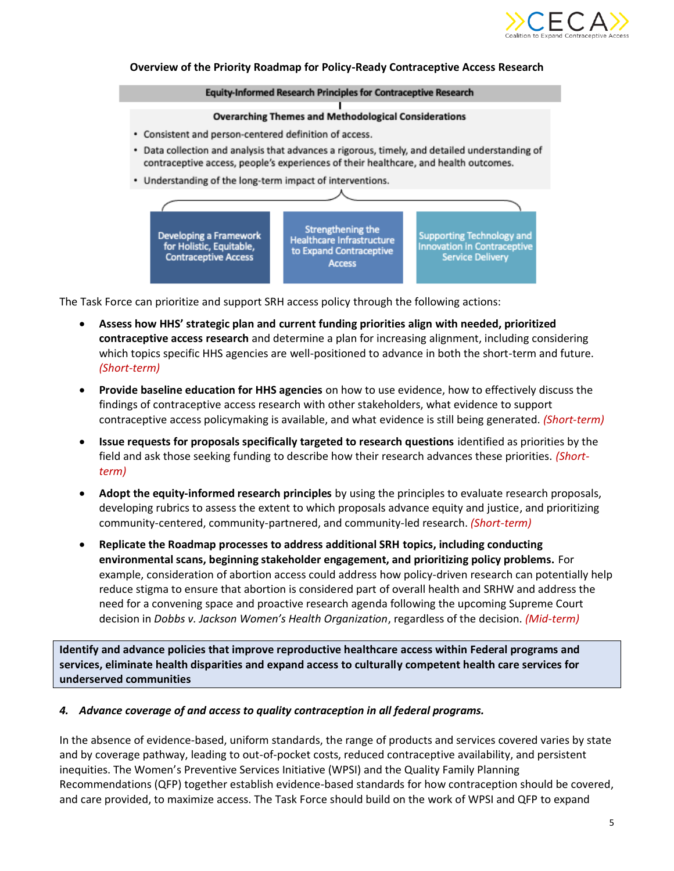

#### **Overview of the Priority Roadmap for Policy-Ready Contraceptive Access Research**

#### Equity-Informed Research Principles for Contraceptive Research

#### **Overarching Themes and Methodological Considerations**

- Consistent and person-centered definition of access.
- Data collection and analysis that advances a rigorous, timely, and detailed understanding of contraceptive access, people's experiences of their healthcare, and health outcomes.
- Understanding of the long-term impact of interventions.



The Task Force can prioritize and support SRH access policy through the following actions:

- **Assess how HHS' strategic plan and current funding priorities align with needed, prioritized contraceptive access research** and determine a plan for increasing alignment, including considering which topics specific HHS agencies are well-positioned to advance in both the short-term and future. *(Short-term)*
- **Provide baseline education for HHS agencies** on how to use evidence, how to effectively discuss the findings of contraceptive access research with other stakeholders, what evidence to support contraceptive access policymaking is available, and what evidence is still being generated. *(Short-term)*
- **Issue requests for proposals specifically targeted to research questions** identified as priorities by the field and ask those seeking funding to describe how their research advances these priorities. *(Shortterm)*
- **Adopt the equity-informed research principles** by using the principles to evaluate research proposals, developing rubrics to assess the extent to which proposals advance equity and justice, and prioritizing community-centered, community-partnered, and community-led research. *(Short-term)*
- **Replicate the Roadmap processes to address additional SRH topics, including conducting environmental scans, beginning stakeholder engagement, and prioritizing policy problems.** For example, consideration of abortion access could address how policy-driven research can potentially help reduce stigma to ensure that abortion is considered part of overall health and SRHW and address the need for a convening space and proactive research agenda following the upcoming Supreme Court decision in *Dobbs v. Jackson Women's Health Organization*, regardless of the decision. *(Mid-term)*

**Identify and advance policies that improve reproductive healthcare access within Federal programs and services, eliminate health disparities and expand access to culturally competent health care services for underserved communities**

## *4. Advance coverage of and access to quality contraception in all federal programs.*

In the absence of evidence-based, uniform standards, the range of products and services covered varies by state and by coverage pathway, leading to out-of-pocket costs, reduced contraceptive availability, and persistent inequities. The Women's Preventive Services Initiative (WPSI) and the Quality Family Planning Recommendations (QFP) together establish evidence-based standards for how contraception should be covered, and care provided, to maximize access. The Task Force should build on the work of WPSI and QFP to expand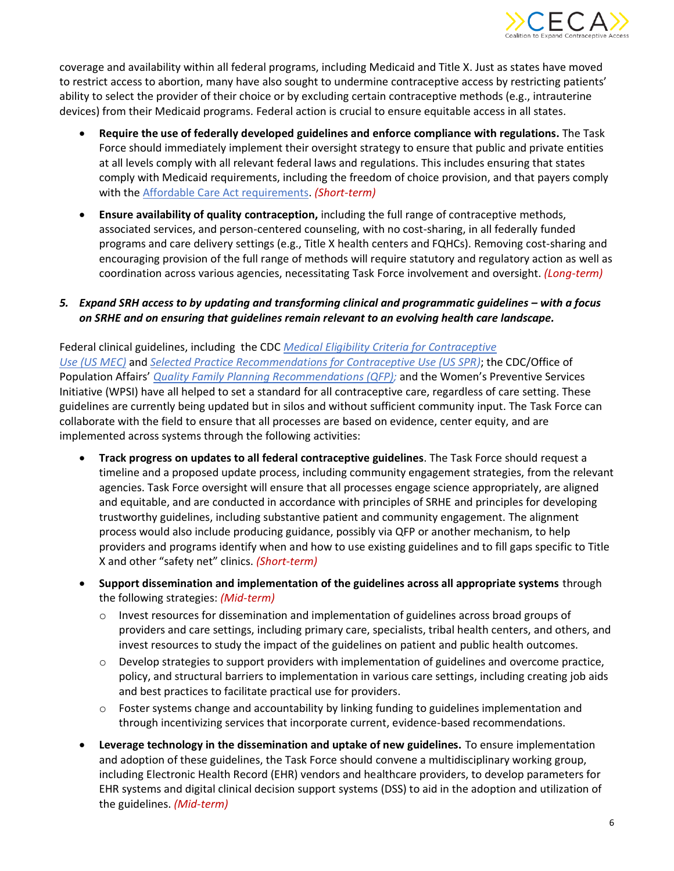

coverage and availability within all federal programs, including Medicaid and Title X. Just as states have moved to restrict access to abortion, many have also sought to undermine contraceptive access by restricting patients' ability to select the provider of their choice or by excluding certain contraceptive methods (e.g., intrauterine devices) from their Medicaid programs. Federal action is crucial to ensure equitable access in all states.

- **Require the use of federally developed guidelines and enforce compliance with regulations.** The Task Force should immediately implement their oversight strategy to ensure that public and private entities at all levels comply with all relevant federal laws and regulations. This includes ensuring that states comply with Medicaid requirements, including the freedom of choice provision, and that payers comply with the [Affordable Care Act requirements.](https://nwlc.org/wp-content/uploads/2021/11/NWLC_BC_AffordCareAct-Oct_2021.pdf) *(Short-term)*
- **Ensure availability of quality contraception,** including the full range of contraceptive methods, associated services, and person-centered counseling, with no cost-sharing, in all federally funded programs and care delivery settings (e.g., Title X health centers and FQHCs). Removing cost-sharing and encouraging provision of the full range of methods will require statutory and regulatory action as well as coordination across various agencies, necessitating Task Force involvement and oversight. *(Long-term)*

# *5. Expand SRH access to by updating and transforming clinical and programmatic guidelines – with a focus on SRHE and on ensuring that guidelines remain relevant to an evolving health care landscape.*

Federal clinical guidelines, including the CDC *[Medical Eligibility Criteria for Contraceptive](https://www.cdc.gov/reproductivehealth/contraception/mmwr/mec/summary.html)  Use (US [MEC\)](https://www.cdc.gov/reproductivehealth/contraception/mmwr/mec/summary.html)* and *[Selected Practice Recommendations for Contraceptive Use \(US SPR\)](https://www.cdc.gov/reproductivehealth/contraception/mmwr/spr/summary.html)*; the CDC/Office of Population Affairs' *[Quality Family Planning Recommendations \(QFP\);](https://opa.hhs.gov/grant-programs/title-x-service-grants/about-title-x-service-grants/quality-family-planning)* and the Women's Preventive Services Initiative (WPSI) have all helped to set a standard for all contraceptive care, regardless of care setting. These guidelines are currently being updated but in silos and without sufficient community input. The Task Force can collaborate with the field to ensure that all processes are based on evidence, center equity, and are implemented across systems through the following activities:

- **Track progress on updates to all federal contraceptive guidelines**. The Task Force should request a timeline and a proposed update process, including community engagement strategies, from the relevant agencies. Task Force oversight will ensure that all processes engage science appropriately, are aligned and equitable, and are conducted in accordance with principles of SRHE and principles for developing trustworthy guidelines, including substantive patient and community engagement. The alignment process would also include producing guidance, possibly via QFP or another mechanism, to help providers and programs identify when and how to use existing guidelines and to fill gaps specific to Title X and other "safety net" clinics. *(Short-term)*
- **Support dissemination and implementation of the guidelines across all appropriate systems** through the following strategies: *(Mid-term)*
	- $\circ$  Invest resources for dissemination and implementation of guidelines across broad groups of providers and care settings, including primary care, specialists, tribal health centers, and others, and invest resources to study the impact of the guidelines on patient and public health outcomes.
	- $\circ$  Develop strategies to support providers with implementation of guidelines and overcome practice, policy, and structural barriers to implementation in various care settings, including creating job aids and best practices to facilitate practical use for providers.
	- $\circ$  Foster systems change and accountability by linking funding to guidelines implementation and through incentivizing services that incorporate current, evidence-based recommendations.
- **Leverage technology in the dissemination and uptake of new guidelines.** To ensure implementation and adoption of these guidelines, the Task Force should convene a multidisciplinary working group, including Electronic Health Record (EHR) vendors and healthcare providers, to develop parameters for EHR systems and digital clinical decision support systems (DSS) to aid in the adoption and utilization of the guidelines. *(Mid-term)*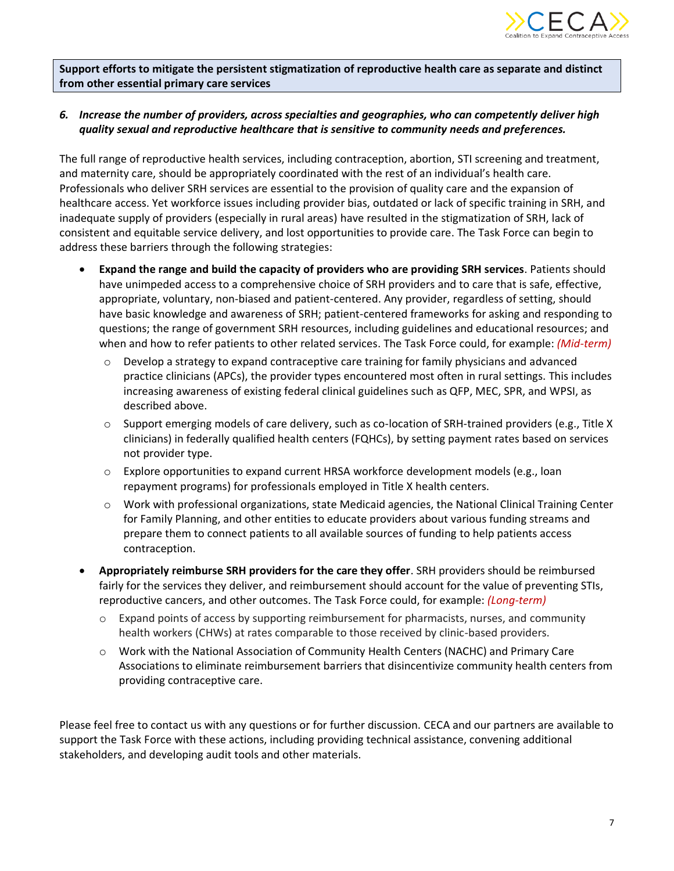

**Support efforts to mitigate the persistent stigmatization of reproductive health care as separate and distinct from other essential primary care services**

# *6. Increase the number of providers, across specialties and geographies, who can competently deliver high quality sexual and reproductive healthcare that is sensitive to community needs and preferences.*

The full range of reproductive health services, including contraception, abortion, STI screening and treatment, and maternity care, should be appropriately coordinated with the rest of an individual's health care. Professionals who deliver SRH services are essential to the provision of quality care and the expansion of healthcare access. Yet workforce issues including provider bias, outdated or lack of specific training in SRH, and inadequate supply of providers (especially in rural areas) have resulted in the stigmatization of SRH, lack of consistent and equitable service delivery, and lost opportunities to provide care. The Task Force can begin to address these barriers through the following strategies:

- **Expand the range and build the capacity of providers who are providing SRH services**. Patients should have unimpeded access to a comprehensive choice of SRH providers and to care that is safe, effective, appropriate, voluntary, non-biased and patient-centered. Any provider, regardless of setting, should have basic knowledge and awareness of SRH; patient-centered frameworks for asking and responding to questions; the range of government SRH resources, including guidelines and educational resources; and when and how to refer patients to other related services. The Task Force could, for example: *(Mid-term)*
	- $\circ$  Develop a strategy to expand contraceptive care training for family physicians and advanced practice clinicians (APCs), the provider types encountered most often in rural settings. This includes increasing awareness of existing federal clinical guidelines such as QFP, MEC, SPR, and WPSI, as described above.
	- $\circ$  Support emerging models of care delivery, such as co-location of SRH-trained providers (e.g., Title X clinicians) in federally qualified health centers (FQHCs), by setting payment rates based on services not provider type.
	- o Explore opportunities to expand current HRSA workforce development models (e.g., loan repayment programs) for professionals employed in Title X health centers.
	- o Work with professional organizations, state Medicaid agencies, the National Clinical Training Center for Family Planning, and other entities to educate providers about various funding streams and prepare them to connect patients to all available sources of funding to help patients access contraception.
- **Appropriately reimburse SRH providers for the care they offer**. SRH providers should be reimbursed fairly for the services they deliver, and reimbursement should account for the value of preventing STIs, reproductive cancers, and other outcomes. The Task Force could, for example: *(Long-term)*
	- $\circ$  Expand points of access by supporting reimbursement for pharmacists, nurses, and community health workers (CHWs) at rates comparable to those received by clinic-based providers.
	- o Work with the National Association of Community Health Centers (NACHC) and Primary Care Associations to eliminate reimbursement barriers that disincentivize community health centers from providing contraceptive care.

Please feel free to contact us with any questions or for further discussion. CECA and our partners are available to support the Task Force with these actions, including providing technical assistance, convening additional stakeholders, and developing audit tools and other materials.